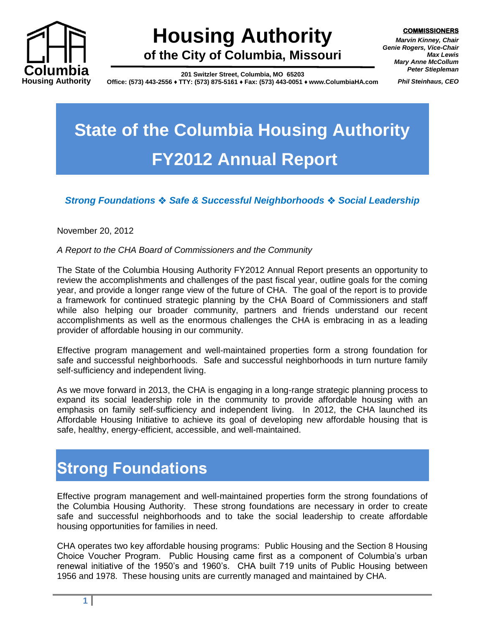

# **Housing Authority of the City of Columbia, Missouri**

**201 Switzler Street, Columbia, MO 65203**

**Office: (573) 443-2556 ♦ TTY: (573) 875-5161 ♦ Fax: (573) 443-0051 ♦ www.ColumbiaHA.com**

**COMMISSIONERS** *Marvin Kinney, Chair Genie Rogers, Vice-Chair*

*Max Lewis*

*Peter Stiepleman Phil Steinhaus, CEO*

*Mary Anne McCollum*

# **State of the Columbia Housing Authority FY2012 Annual Report**

# *Strong Foundations Safe & Successful Neighborhoods Social Leadership*

November 20, 2012

*A Report to the CHA Board of Commissioners and the Community*

The State of the Columbia Housing Authority FY2012 Annual Report presents an opportunity to review the accomplishments and challenges of the past fiscal year, outline goals for the coming year, and provide a longer range view of the future of CHA. The goal of the report is to provide a framework for continued strategic planning by the CHA Board of Commissioners and staff while also helping our broader community, partners and friends understand our recent accomplishments as well as the enormous challenges the CHA is embracing in as a leading provider of affordable housing in our community.

Effective program management and well-maintained properties form a strong foundation for safe and successful neighborhoods. Safe and successful neighborhoods in turn nurture family self-sufficiency and independent living.

As we move forward in 2013, the CHA is engaging in a long-range strategic planning process to expand its social leadership role in the community to provide affordable housing with an emphasis on family self-sufficiency and independent living. In 2012, the CHA launched its Affordable Housing Initiative to achieve its goal of developing new affordable housing that is safe, healthy, energy-efficient, accessible, and well-maintained.

# **Strong Foundations**

Effective program management and well-maintained properties form the strong foundations of the Columbia Housing Authority. These strong foundations are necessary in order to create safe and successful neighborhoods and to take the social leadership to create affordable housing opportunities for families in need.

CHA operates two key affordable housing programs: Public Housing and the Section 8 Housing Choice Voucher Program. Public Housing came first as a component of Columbia's urban renewal initiative of the 1950's and 1960's. CHA built 719 units of Public Housing between 1956 and 1978. These housing units are currently managed and maintained by CHA.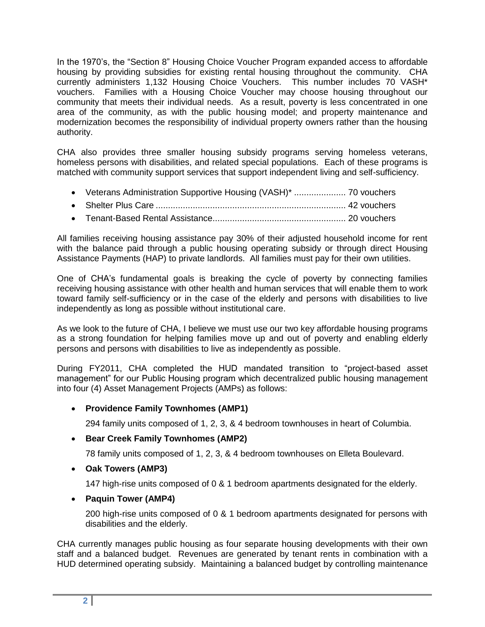In the 1970's, the "Section 8" Housing Choice Voucher Program expanded access to affordable housing by providing subsidies for existing rental housing throughout the community. CHA currently administers 1,132 Housing Choice Vouchers. This number includes 70 VASH\* vouchers. Families with a Housing Choice Voucher may choose housing throughout our community that meets their individual needs. As a result, poverty is less concentrated in one area of the community, as with the public housing model; and property maintenance and modernization becomes the responsibility of individual property owners rather than the housing authority.

CHA also provides three smaller housing subsidy programs serving homeless veterans, homeless persons with disabilities, and related special populations. Each of these programs is matched with community support services that support independent living and self-sufficiency.

- Veterans Administration Supportive Housing (VASH)\* ..................... 70 vouchers
- Shelter Plus Care ............................................................................. 42 vouchers
- Tenant-Based Rental Assistance...................................................... 20 vouchers

All families receiving housing assistance pay 30% of their adjusted household income for rent with the balance paid through a public housing operating subsidy or through direct Housing Assistance Payments (HAP) to private landlords. All families must pay for their own utilities.

One of CHA's fundamental goals is breaking the cycle of poverty by connecting families receiving housing assistance with other health and human services that will enable them to work toward family self-sufficiency or in the case of the elderly and persons with disabilities to live independently as long as possible without institutional care.

As we look to the future of CHA, I believe we must use our two key affordable housing programs as a strong foundation for helping families move up and out of poverty and enabling elderly persons and persons with disabilities to live as independently as possible.

During FY2011, CHA completed the HUD mandated transition to "project-based asset management" for our Public Housing program which decentralized public housing management into four (4) Asset Management Projects (AMPs) as follows:

#### **Providence Family Townhomes (AMP1)**

294 family units composed of 1, 2, 3, & 4 bedroom townhouses in heart of Columbia.

#### **Bear Creek Family Townhomes (AMP2)**

78 family units composed of 1, 2, 3, & 4 bedroom townhouses on Elleta Boulevard.

#### **Oak Towers (AMP3)**

147 high-rise units composed of 0 & 1 bedroom apartments designated for the elderly.

#### **Paquin Tower (AMP4)**

200 high-rise units composed of 0 & 1 bedroom apartments designated for persons with disabilities and the elderly.

CHA currently manages public housing as four separate housing developments with their own staff and a balanced budget. Revenues are generated by tenant rents in combination with a HUD determined operating subsidy. Maintaining a balanced budget by controlling maintenance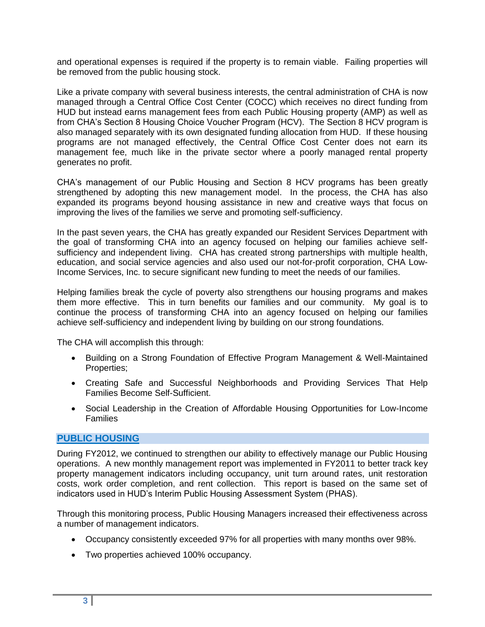and operational expenses is required if the property is to remain viable. Failing properties will be removed from the public housing stock.

Like a private company with several business interests, the central administration of CHA is now managed through a Central Office Cost Center (COCC) which receives no direct funding from HUD but instead earns management fees from each Public Housing property (AMP) as well as from CHA's Section 8 Housing Choice Voucher Program (HCV). The Section 8 HCV program is also managed separately with its own designated funding allocation from HUD. If these housing programs are not managed effectively, the Central Office Cost Center does not earn its management fee, much like in the private sector where a poorly managed rental property generates no profit.

CHA's management of our Public Housing and Section 8 HCV programs has been greatly strengthened by adopting this new management model. In the process, the CHA has also expanded its programs beyond housing assistance in new and creative ways that focus on improving the lives of the families we serve and promoting self-sufficiency.

In the past seven years, the CHA has greatly expanded our Resident Services Department with the goal of transforming CHA into an agency focused on helping our families achieve selfsufficiency and independent living. CHA has created strong partnerships with multiple health, education, and social service agencies and also used our not-for-profit corporation, CHA Low-Income Services, Inc. to secure significant new funding to meet the needs of our families.

Helping families break the cycle of poverty also strengthens our housing programs and makes them more effective. This in turn benefits our families and our community. My goal is to continue the process of transforming CHA into an agency focused on helping our families achieve self-sufficiency and independent living by building on our strong foundations.

The CHA will accomplish this through:

- Building on a Strong Foundation of Effective Program Management & Well-Maintained Properties;
- Creating Safe and Successful Neighborhoods and Providing Services That Help Families Become Self-Sufficient.
- Social Leadership in the Creation of Affordable Housing Opportunities for Low-Income Families

#### **PUBLIC HOUSING**

During FY2012, we continued to strengthen our ability to effectively manage our Public Housing operations. A new monthly management report was implemented in FY2011 to better track key property management indicators including occupancy, unit turn around rates, unit restoration costs, work order completion, and rent collection. This report is based on the same set of indicators used in HUD's Interim Public Housing Assessment System (PHAS).

Through this monitoring process, Public Housing Managers increased their effectiveness across a number of management indicators.

- Occupancy consistently exceeded 97% for all properties with many months over 98%.
- Two properties achieved 100% occupancy.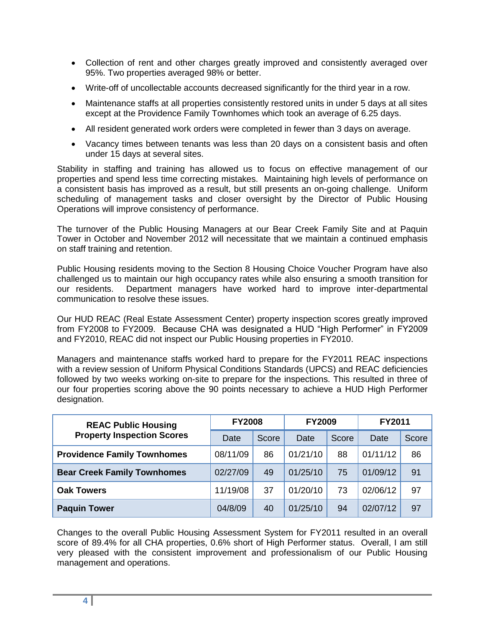- Collection of rent and other charges greatly improved and consistently averaged over 95%. Two properties averaged 98% or better.
- Write-off of uncollectable accounts decreased significantly for the third year in a row.
- Maintenance staffs at all properties consistently restored units in under 5 days at all sites except at the Providence Family Townhomes which took an average of 6.25 days.
- All resident generated work orders were completed in fewer than 3 days on average.
- Vacancy times between tenants was less than 20 days on a consistent basis and often under 15 days at several sites.

Stability in staffing and training has allowed us to focus on effective management of our properties and spend less time correcting mistakes. Maintaining high levels of performance on a consistent basis has improved as a result, but still presents an on-going challenge. Uniform scheduling of management tasks and closer oversight by the Director of Public Housing Operations will improve consistency of performance.

The turnover of the Public Housing Managers at our Bear Creek Family Site and at Paquin Tower in October and November 2012 will necessitate that we maintain a continued emphasis on staff training and retention.

Public Housing residents moving to the Section 8 Housing Choice Voucher Program have also challenged us to maintain our high occupancy rates while also ensuring a smooth transition for our residents. Department managers have worked hard to improve inter-departmental communication to resolve these issues.

Our HUD REAC (Real Estate Assessment Center) property inspection scores greatly improved from FY2008 to FY2009. Because CHA was designated a HUD "High Performer" in FY2009 and FY2010, REAC did not inspect our Public Housing properties in FY2010.

Managers and maintenance staffs worked hard to prepare for the FY2011 REAC inspections with a review session of Uniform Physical Conditions Standards (UPCS) and REAC deficiencies followed by two weeks working on-site to prepare for the inspections. This resulted in three of our four properties scoring above the 90 points necessary to achieve a HUD High Performer designation.

| <b>REAC Public Housing</b><br><b>Property Inspection Scores</b> | <b>FY2008</b> |       | <b>FY2009</b> |       | <b>FY2011</b> |       |
|-----------------------------------------------------------------|---------------|-------|---------------|-------|---------------|-------|
|                                                                 | Date          | Score | Date          | Score | Date          | Score |
| <b>Providence Family Townhomes</b>                              | 08/11/09      | 86    | 01/21/10      | 88    | 01/11/12      | 86    |
| <b>Bear Creek Family Townhomes</b>                              | 02/27/09      | 49    | 01/25/10      | 75    | 01/09/12      | 91    |
| <b>Oak Towers</b>                                               | 11/19/08      | 37    | 01/20/10      | 73    | 02/06/12      | 97    |
| <b>Paquin Tower</b>                                             | 04/8/09       | 40    | 01/25/10      | 94    | 02/07/12      | 97    |

Changes to the overall Public Housing Assessment System for FY2011 resulted in an overall score of 89.4% for all CHA properties, 0.6% short of High Performer status. Overall, I am still very pleased with the consistent improvement and professionalism of our Public Housing management and operations.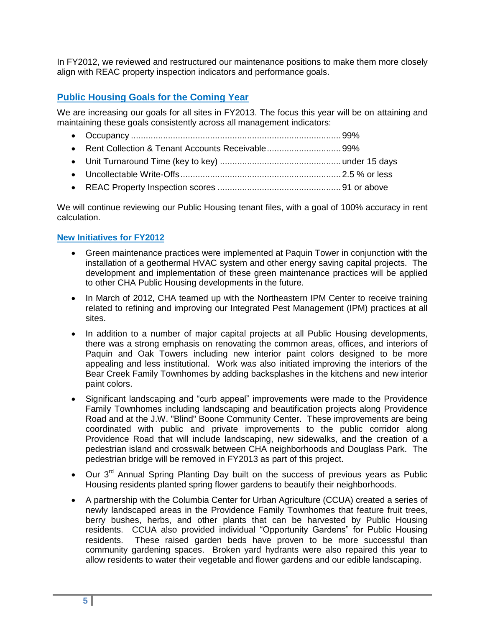In FY2012, we reviewed and restructured our maintenance positions to make them more closely align with REAC property inspection indicators and performance goals.

# **Public Housing Goals for the Coming Year**

We are increasing our goals for all sites in FY2013. The focus this year will be on attaining and maintaining these goals consistently across all management indicators:

- Occupancy .....................................................................................99%
- Rent Collection & Tenant Accounts Receivable..............................99%
- Unit Turnaround Time (key to key) .................................................under 15 days
- Uncollectable Write-Offs.................................................................2.5 % or less
- REAC Property Inspection scores ..................................................91 or above

We will continue reviewing our Public Housing tenant files, with a goal of 100% accuracy in rent calculation.

#### **New Initiatives for FY2012**

- Green maintenance practices were implemented at Paquin Tower in conjunction with the installation of a geothermal HVAC system and other energy saving capital projects. The development and implementation of these green maintenance practices will be applied to other CHA Public Housing developments in the future.
- In March of 2012, CHA teamed up with the Northeastern IPM Center to receive training related to refining and improving our Integrated Pest Management (IPM) practices at all sites.
- In addition to a number of major capital projects at all Public Housing developments, there was a strong emphasis on renovating the common areas, offices, and interiors of Paquin and Oak Towers including new interior paint colors designed to be more appealing and less institutional. Work was also initiated improving the interiors of the Bear Creek Family Townhomes by adding backsplashes in the kitchens and new interior paint colors.
- Significant landscaping and "curb appeal" improvements were made to the Providence Family Townhomes including landscaping and beautification projects along Providence Road and at the J.W. "Blind" Boone Community Center. These improvements are being coordinated with public and private improvements to the public corridor along Providence Road that will include landscaping, new sidewalks, and the creation of a pedestrian island and crosswalk between CHA neighborhoods and Douglass Park. The pedestrian bridge will be removed in FY2013 as part of this project.
- $\bullet$  Our 3<sup>rd</sup> Annual Spring Planting Day built on the success of previous years as Public Housing residents planted spring flower gardens to beautify their neighborhoods.
- A partnership with the Columbia Center for Urban Agriculture (CCUA) created a series of newly landscaped areas in the Providence Family Townhomes that feature fruit trees, berry bushes, herbs, and other plants that can be harvested by Public Housing residents. CCUA also provided individual "Opportunity Gardens" for Public Housing residents. These raised garden beds have proven to be more successful than community gardening spaces. Broken yard hydrants were also repaired this year to allow residents to water their vegetable and flower gardens and our edible landscaping.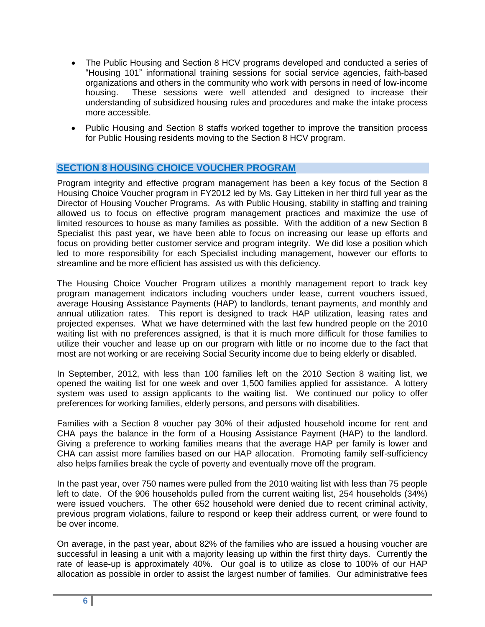- The Public Housing and Section 8 HCV programs developed and conducted a series of "Housing 101" informational training sessions for social service agencies, faith-based organizations and others in the community who work with persons in need of low-income housing. These sessions were well attended and designed to increase their understanding of subsidized housing rules and procedures and make the intake process more accessible.
- Public Housing and Section 8 staffs worked together to improve the transition process for Public Housing residents moving to the Section 8 HCV program.

# **SECTION 8 HOUSING CHOICE VOUCHER PROGRAM**

Program integrity and effective program management has been a key focus of the Section 8 Housing Choice Voucher program in FY2012 led by Ms. Gay Litteken in her third full year as the Director of Housing Voucher Programs. As with Public Housing, stability in staffing and training allowed us to focus on effective program management practices and maximize the use of limited resources to house as many families as possible. With the addition of a new Section 8 Specialist this past year, we have been able to focus on increasing our lease up efforts and focus on providing better customer service and program integrity. We did lose a position which led to more responsibility for each Specialist including management, however our efforts to streamline and be more efficient has assisted us with this deficiency.

The Housing Choice Voucher Program utilizes a monthly management report to track key program management indicators including vouchers under lease, current vouchers issued, average Housing Assistance Payments (HAP) to landlords, tenant payments, and monthly and annual utilization rates. This report is designed to track HAP utilization, leasing rates and projected expenses. What we have determined with the last few hundred people on the 2010 waiting list with no preferences assigned, is that it is much more difficult for those families to utilize their voucher and lease up on our program with little or no income due to the fact that most are not working or are receiving Social Security income due to being elderly or disabled.

In September, 2012, with less than 100 families left on the 2010 Section 8 waiting list, we opened the waiting list for one week and over 1,500 families applied for assistance. A lottery system was used to assign applicants to the waiting list. We continued our policy to offer preferences for working families, elderly persons, and persons with disabilities.

Families with a Section 8 voucher pay 30% of their adjusted household income for rent and CHA pays the balance in the form of a Housing Assistance Payment (HAP) to the landlord. Giving a preference to working families means that the average HAP per family is lower and CHA can assist more families based on our HAP allocation. Promoting family self-sufficiency also helps families break the cycle of poverty and eventually move off the program.

In the past year, over 750 names were pulled from the 2010 waiting list with less than 75 people left to date. Of the 906 households pulled from the current waiting list, 254 households (34%) were issued vouchers. The other 652 household were denied due to recent criminal activity, previous program violations, failure to respond or keep their address current, or were found to be over income.

On average, in the past year, about 82% of the families who are issued a housing voucher are successful in leasing a unit with a majority leasing up within the first thirty days. Currently the rate of lease-up is approximately 40%. Our goal is to utilize as close to 100% of our HAP allocation as possible in order to assist the largest number of families. Our administrative fees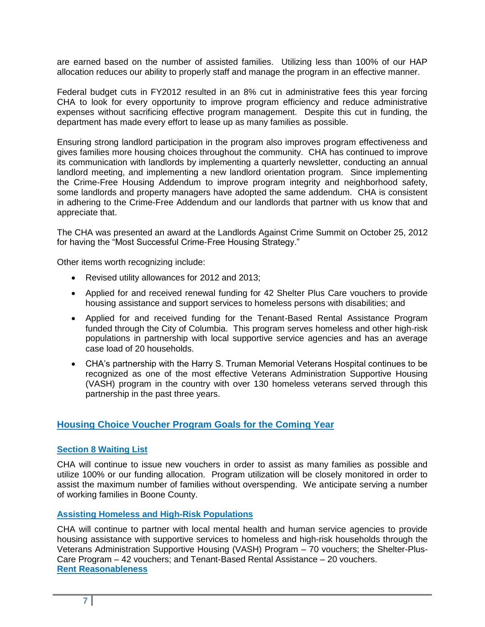are earned based on the number of assisted families. Utilizing less than 100% of our HAP allocation reduces our ability to properly staff and manage the program in an effective manner.

Federal budget cuts in FY2012 resulted in an 8% cut in administrative fees this year forcing CHA to look for every opportunity to improve program efficiency and reduce administrative expenses without sacrificing effective program management. Despite this cut in funding, the department has made every effort to lease up as many families as possible.

Ensuring strong landlord participation in the program also improves program effectiveness and gives families more housing choices throughout the community. CHA has continued to improve its communication with landlords by implementing a quarterly newsletter, conducting an annual landlord meeting, and implementing a new landlord orientation program. Since implementing the Crime-Free Housing Addendum to improve program integrity and neighborhood safety, some landlords and property managers have adopted the same addendum. CHA is consistent in adhering to the Crime-Free Addendum and our landlords that partner with us know that and appreciate that.

The CHA was presented an award at the Landlords Against Crime Summit on October 25, 2012 for having the "Most Successful Crime-Free Housing Strategy."

Other items worth recognizing include:

- Revised utility allowances for 2012 and 2013;
- Applied for and received renewal funding for 42 Shelter Plus Care vouchers to provide housing assistance and support services to homeless persons with disabilities; and
- Applied for and received funding for the Tenant-Based Rental Assistance Program funded through the City of Columbia. This program serves homeless and other high-risk populations in partnership with local supportive service agencies and has an average case load of 20 households.
- CHA's partnership with the Harry S. Truman Memorial Veterans Hospital continues to be recognized as one of the most effective Veterans Administration Supportive Housing (VASH) program in the country with over 130 homeless veterans served through this partnership in the past three years.

# **Housing Choice Voucher Program Goals for the Coming Year**

#### **Section 8 Waiting List**

CHA will continue to issue new vouchers in order to assist as many families as possible and utilize 100% or our funding allocation. Program utilization will be closely monitored in order to assist the maximum number of families without overspending. We anticipate serving a number of working families in Boone County.

#### **Assisting Homeless and High-Risk Populations**

CHA will continue to partner with local mental health and human service agencies to provide housing assistance with supportive services to homeless and high-risk households through the Veterans Administration Supportive Housing (VASH) Program – 70 vouchers; the Shelter-Plus-Care Program – 42 vouchers; and Tenant-Based Rental Assistance – 20 vouchers. **Rent Reasonableness**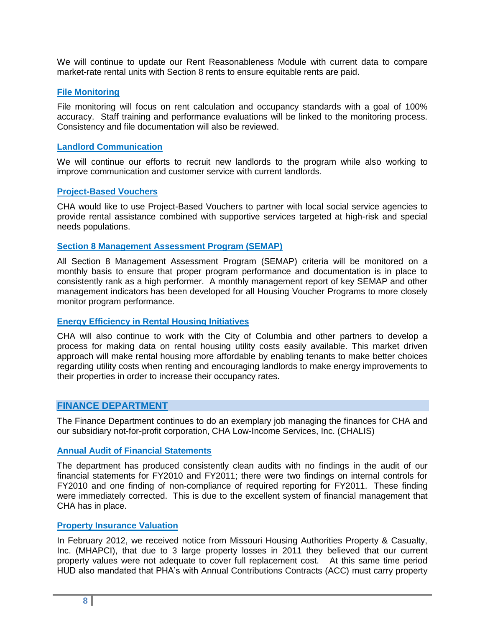We will continue to update our Rent Reasonableness Module with current data to compare market-rate rental units with Section 8 rents to ensure equitable rents are paid.

#### **File Monitoring**

File monitoring will focus on rent calculation and occupancy standards with a goal of 100% accuracy. Staff training and performance evaluations will be linked to the monitoring process. Consistency and file documentation will also be reviewed.

#### **Landlord Communication**

We will continue our efforts to recruit new landlords to the program while also working to improve communication and customer service with current landlords.

#### **Project-Based Vouchers**

CHA would like to use Project-Based Vouchers to partner with local social service agencies to provide rental assistance combined with supportive services targeted at high-risk and special needs populations.

#### **Section 8 Management Assessment Program (SEMAP)**

All Section 8 Management Assessment Program (SEMAP) criteria will be monitored on a monthly basis to ensure that proper program performance and documentation is in place to consistently rank as a high performer. A monthly management report of key SEMAP and other management indicators has been developed for all Housing Voucher Programs to more closely monitor program performance.

#### **Energy Efficiency in Rental Housing Initiatives**

CHA will also continue to work with the City of Columbia and other partners to develop a process for making data on rental housing utility costs easily available. This market driven approach will make rental housing more affordable by enabling tenants to make better choices regarding utility costs when renting and encouraging landlords to make energy improvements to their properties in order to increase their occupancy rates.

#### **FINANCE DEPARTMENT**

The Finance Department continues to do an exemplary job managing the finances for CHA and our subsidiary not-for-profit corporation, CHA Low-Income Services, Inc. (CHALIS)

#### **Annual Audit of Financial Statements**

The department has produced consistently clean audits with no findings in the audit of our financial statements for FY2010 and FY2011; there were two findings on internal controls for FY2010 and one finding of non-compliance of required reporting for FY2011. These finding were immediately corrected. This is due to the excellent system of financial management that CHA has in place.

#### **Property Insurance Valuation**

In February 2012, we received notice from Missouri Housing Authorities Property & Casualty, Inc. (MHAPCI), that due to 3 large property losses in 2011 they believed that our current property values were not adequate to cover full replacement cost. At this same time period HUD also mandated that PHA's with Annual Contributions Contracts (ACC) must carry property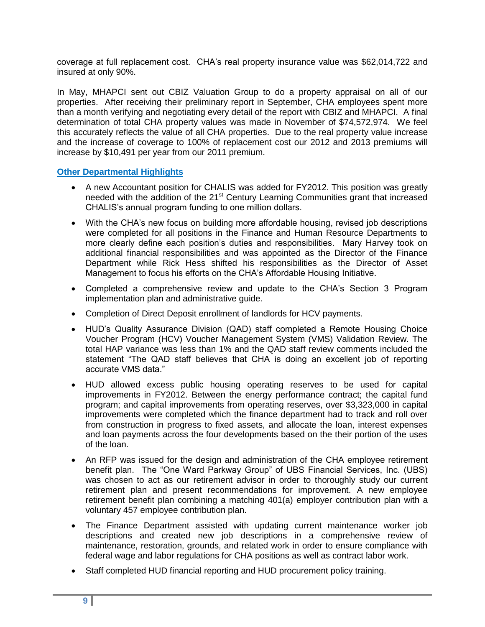coverage at full replacement cost. CHA's real property insurance value was \$62,014,722 and insured at only 90%.

In May, MHAPCI sent out CBIZ Valuation Group to do a property appraisal on all of our properties. After receiving their preliminary report in September, CHA employees spent more than a month verifying and negotiating every detail of the report with CBIZ and MHAPCI. A final determination of total CHA property values was made in November of \$74,572,974. We feel this accurately reflects the value of all CHA properties. Due to the real property value increase and the increase of coverage to 100% of replacement cost our 2012 and 2013 premiums will increase by \$10,491 per year from our 2011 premium.

#### **Other Departmental Highlights**

- A new Accountant position for CHALIS was added for FY2012. This position was greatly needed with the addition of the 21<sup>st</sup> Century Learning Communities grant that increased CHALIS's annual program funding to one million dollars.
- With the CHA's new focus on building more affordable housing, revised job descriptions were completed for all positions in the Finance and Human Resource Departments to more clearly define each position's duties and responsibilities. Mary Harvey took on additional financial responsibilities and was appointed as the Director of the Finance Department while Rick Hess shifted his responsibilities as the Director of Asset Management to focus his efforts on the CHA's Affordable Housing Initiative.
- Completed a comprehensive review and update to the CHA's Section 3 Program implementation plan and administrative guide.
- Completion of Direct Deposit enrollment of landlords for HCV payments.
- HUD's Quality Assurance Division (QAD) staff completed a Remote Housing Choice Voucher Program (HCV) Voucher Management System (VMS) Validation Review. The total HAP variance was less than 1% and the QAD staff review comments included the statement "The QAD staff believes that CHA is doing an excellent job of reporting accurate VMS data."
- HUD allowed excess public housing operating reserves to be used for capital improvements in FY2012. Between the energy performance contract; the capital fund program; and capital improvements from operating reserves, over \$3,323,000 in capital improvements were completed which the finance department had to track and roll over from construction in progress to fixed assets, and allocate the loan, interest expenses and loan payments across the four developments based on the their portion of the uses of the loan.
- An RFP was issued for the design and administration of the CHA employee retirement benefit plan. The "One Ward Parkway Group" of UBS Financial Services, Inc. (UBS) was chosen to act as our retirement advisor in order to thoroughly study our current retirement plan and present recommendations for improvement. A new employee retirement benefit plan combining a matching 401(a) employer contribution plan with a voluntary 457 employee contribution plan.
- The Finance Department assisted with updating current maintenance worker job descriptions and created new job descriptions in a comprehensive review of maintenance, restoration, grounds, and related work in order to ensure compliance with federal wage and labor regulations for CHA positions as well as contract labor work.
- Staff completed HUD financial reporting and HUD procurement policy training.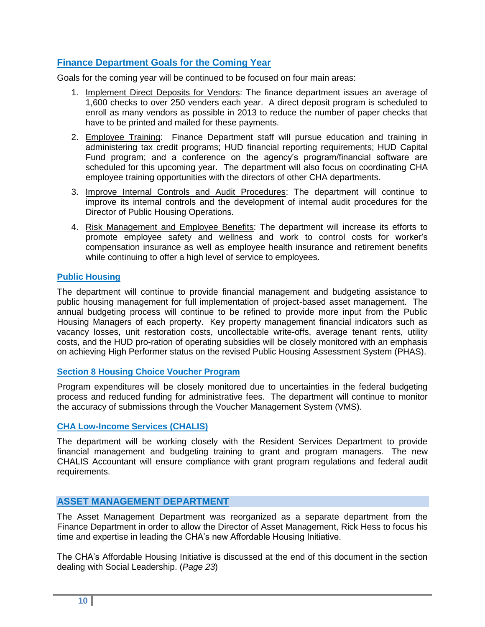# **Finance Department Goals for the Coming Year**

Goals for the coming year will be continued to be focused on four main areas:

- 1. Implement Direct Deposits for Vendors: The finance department issues an average of 1,600 checks to over 250 venders each year. A direct deposit program is scheduled to enroll as many vendors as possible in 2013 to reduce the number of paper checks that have to be printed and mailed for these payments.
- 2. Employee Training: Finance Department staff will pursue education and training in administering tax credit programs; HUD financial reporting requirements; HUD Capital Fund program; and a conference on the agency's program/financial software are scheduled for this upcoming year. The department will also focus on coordinating CHA employee training opportunities with the directors of other CHA departments.
- 3. Improve Internal Controls and Audit Procedures: The department will continue to improve its internal controls and the development of internal audit procedures for the Director of Public Housing Operations.
- 4. Risk Management and Employee Benefits: The department will increase its efforts to promote employee safety and wellness and work to control costs for worker's compensation insurance as well as employee health insurance and retirement benefits while continuing to offer a high level of service to employees.

#### **Public Housing**

The department will continue to provide financial management and budgeting assistance to public housing management for full implementation of project-based asset management. The annual budgeting process will continue to be refined to provide more input from the Public Housing Managers of each property. Key property management financial indicators such as vacancy losses, unit restoration costs, uncollectable write-offs, average tenant rents, utility costs, and the HUD pro-ration of operating subsidies will be closely monitored with an emphasis on achieving High Performer status on the revised Public Housing Assessment System (PHAS).

#### **Section 8 Housing Choice Voucher Program**

Program expenditures will be closely monitored due to uncertainties in the federal budgeting process and reduced funding for administrative fees. The department will continue to monitor the accuracy of submissions through the Voucher Management System (VMS).

#### **CHA Low-Income Services (CHALIS)**

The department will be working closely with the Resident Services Department to provide financial management and budgeting training to grant and program managers. The new CHALIS Accountant will ensure compliance with grant program regulations and federal audit requirements.

#### **ASSET MANAGEMENT DEPARTMENT**

The Asset Management Department was reorganized as a separate department from the Finance Department in order to allow the Director of Asset Management, Rick Hess to focus his time and expertise in leading the CHA's new Affordable Housing Initiative.

The CHA's Affordable Housing Initiative is discussed at the end of this document in the section dealing with Social Leadership. (*Page 23*)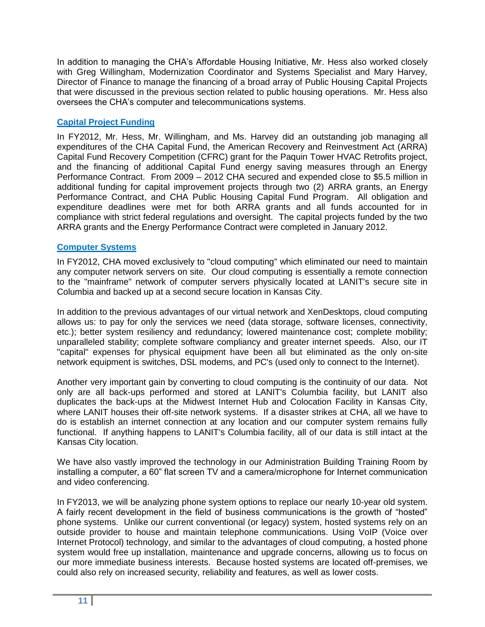In addition to managing the CHA's Affordable Housing Initiative, Mr. Hess also worked closely with Greg Willingham, Modernization Coordinator and Systems Specialist and Mary Harvey, Director of Finance to manage the financing of a broad array of Public Housing Capital Projects that were discussed in the previous section related to public housing operations. Mr. Hess also oversees the CHA's computer and telecommunications systems.

#### **Capital Project Funding**

In FY2012, Mr. Hess, Mr. Willingham, and Ms. Harvey did an outstanding job managing all expenditures of the CHA Capital Fund, the American Recovery and Reinvestment Act (ARRA) Capital Fund Recovery Competition (CFRC) grant for the Paquin Tower HVAC Retrofits project, and the financing of additional Capital Fund energy saving measures through an Energy Performance Contract. From 2009 – 2012 CHA secured and expended close to \$5.5 million in additional funding for capital improvement projects through two (2) ARRA grants, an Energy Performance Contract, and CHA Public Housing Capital Fund Program. All obligation and expenditure deadlines were met for both ARRA grants and all funds accounted for in compliance with strict federal regulations and oversight. The capital projects funded by the two ARRA grants and the Energy Performance Contract were completed in January 2012.

#### **Computer Systems**

In FY2012, CHA moved exclusively to "cloud computing" which eliminated our need to maintain any computer network servers on site. Our cloud computing is essentially a remote connection to the "mainframe" network of computer servers physically located at LANIT's secure site in Columbia and backed up at a second secure location in Kansas City.

In addition to the previous advantages of our virtual network and XenDesktops, cloud computing allows us: to pay for only the services we need (data storage, software licenses, connectivity, etc.); better system resiliency and redundancy; lowered maintenance cost; complete mobility; unparalleled stability; complete software compliancy and greater internet speeds. Also, our IT "capital" expenses for physical equipment have been all but eliminated as the only on-site network equipment is switches, DSL modems, and PC's (used only to connect to the Internet).

Another very important gain by converting to cloud computing is the continuity of our data. Not only are all back-ups performed and stored at LANIT's Columbia facility, but LANIT also duplicates the back-ups at the Midwest Internet Hub and Colocation Facility in Kansas City, where LANIT houses their off-site network systems. If a disaster strikes at CHA, all we have to do is establish an internet connection at any location and our computer system remains fully functional. If anything happens to LANIT's Columbia facility, all of our data is still intact at the Kansas City location.

We have also vastly improved the technology in our Administration Building Training Room by installing a computer, a 60" flat screen TV and a camera/microphone for Internet communication and video conferencing.

In FY2013, we will be analyzing phone system options to replace our nearly 10-year old system. A fairly recent development in the field of business communications is the growth of "hosted" phone systems. Unlike our current conventional (or legacy) system, hosted systems rely on an outside provider to house and maintain telephone communications. Using VoIP (Voice over Internet Protocol) technology, and similar to the advantages of cloud computing, a hosted phone system would free up installation, maintenance and upgrade concerns, allowing us to focus on our more immediate business interests. Because hosted systems are located off-premises, we could also rely on increased security, reliability and features, as well as lower costs.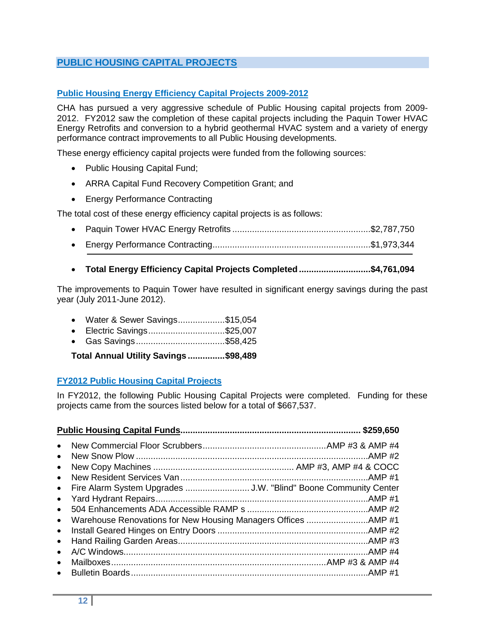# **PUBLIC HOUSING CAPITAL PROJECTS**

# **Public Housing Energy Efficiency Capital Projects 2009-2012**

CHA has pursued a very aggressive schedule of Public Housing capital projects from 2009- 2012. FY2012 saw the completion of these capital projects including the Paquin Tower HVAC Energy Retrofits and conversion to a hybrid geothermal HVAC system and a variety of energy performance contract improvements to all Public Housing developments.

These energy efficiency capital projects were funded from the following sources:

- Public Housing Capital Fund;
- ARRA Capital Fund Recovery Competition Grant; and
- Energy Performance Contracting

The total cost of these energy efficiency capital projects is as follows:

- Paquin Tower HVAC Energy Retrofits ........................................................\$2,787,750
- Energy Performance Contracting................................................................\$1,973,344
- **Total Energy Efficiency Capital Projects Completed .............................\$4,761,094**

The improvements to Paquin Tower have resulted in significant energy savings during the past year (July 2011-June 2012).

- Water & Sewer Savings...................\$15,054
- Electric Savings...............................\$25,007
- Gas Savings....................................\$58,425

**Total Annual Utility Savings ...............\$98,489**

# **FY2012 Public Housing Capital Projects**

In FY2012, the following Public Housing Capital Projects were completed. Funding for these projects came from the sources listed below for a total of \$667,537.

| $\bullet$                                                                   |  |
|-----------------------------------------------------------------------------|--|
| $\bullet$                                                                   |  |
| $\bullet$                                                                   |  |
| $\bullet$                                                                   |  |
| Fire Alarm System Upgrades J.W. "Blind" Boone Community Center<br>$\bullet$ |  |
| $\bullet$                                                                   |  |
| $\bullet$                                                                   |  |
| $\bullet$                                                                   |  |
| $\bullet$                                                                   |  |
| $\bullet$                                                                   |  |
| $\bullet$                                                                   |  |
| $\bullet$                                                                   |  |
| $\bullet$                                                                   |  |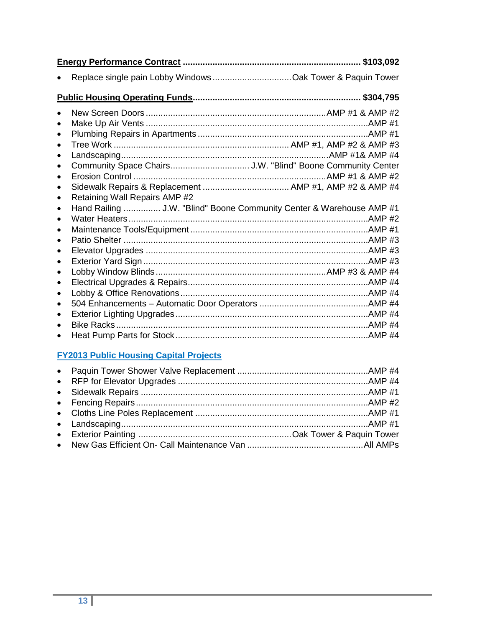| $\bullet$<br>$\bullet$<br>$\bullet$<br>$\bullet$<br>$\bullet$<br>$\bullet$<br>$\bullet$<br>$\bullet$<br>$\bullet$<br>$\bullet$<br>$\bullet$<br>$\bullet$<br>$\bullet$<br>$\bullet$<br>$\bullet$<br>$\bullet$<br>$\bullet$<br>$\bullet$<br>$\bullet$ | Retaining Wall Repairs AMP #2<br>Hand Railing  J.W. "Blind" Boone Community Center & Warehouse AMP #1 |  |
|-----------------------------------------------------------------------------------------------------------------------------------------------------------------------------------------------------------------------------------------------------|-------------------------------------------------------------------------------------------------------|--|
|                                                                                                                                                                                                                                                     |                                                                                                       |  |

# **FY2013 Public Housing Capital Projects**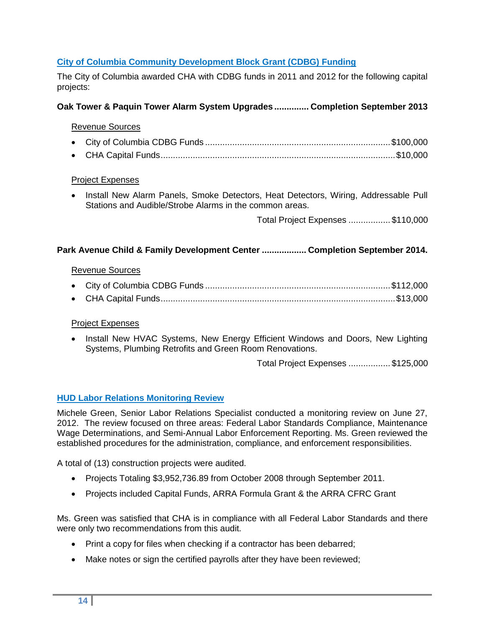# **City of Columbia Community Development Block Grant (CDBG) Funding**

The City of Columbia awarded CHA with CDBG funds in 2011 and 2012 for the following capital projects:

### **Oak Tower & Paquin Tower Alarm System Upgrades .............. Completion September 2013**

#### Revenue Sources

 City of Columbia CDBG Funds ...........................................................................\$100,000 CHA Capital Funds...............................................................................................\$10,000

#### Project Expenses

• Install New Alarm Panels, Smoke Detectors, Heat Detectors, Wiring, Addressable Pull Stations and Audible/Strobe Alarms in the common areas.

Total Project Expenses ................. \$110,000

#### **Park Avenue Child & Family Development Center .................. Completion September 2014.**

#### Revenue Sources

#### Project Expenses

• Install New HVAC Systems, New Energy Efficient Windows and Doors, New Lighting Systems, Plumbing Retrofits and Green Room Renovations.

Total Project Expenses ................. \$125,000

#### **HUD Labor Relations Monitoring Review**

Michele Green, Senior Labor Relations Specialist conducted a monitoring review on June 27, 2012. The review focused on three areas: Federal Labor Standards Compliance, Maintenance Wage Determinations, and Semi-Annual Labor Enforcement Reporting. Ms. Green reviewed the established procedures for the administration, compliance, and enforcement responsibilities.

A total of (13) construction projects were audited.

- Projects Totaling \$3,952,736.89 from October 2008 through September 2011.
- Projects included Capital Funds, ARRA Formula Grant & the ARRA CFRC Grant

Ms. Green was satisfied that CHA is in compliance with all Federal Labor Standards and there were only two recommendations from this audit.

- Print a copy for files when checking if a contractor has been debarred;
- Make notes or sign the certified payrolls after they have been reviewed;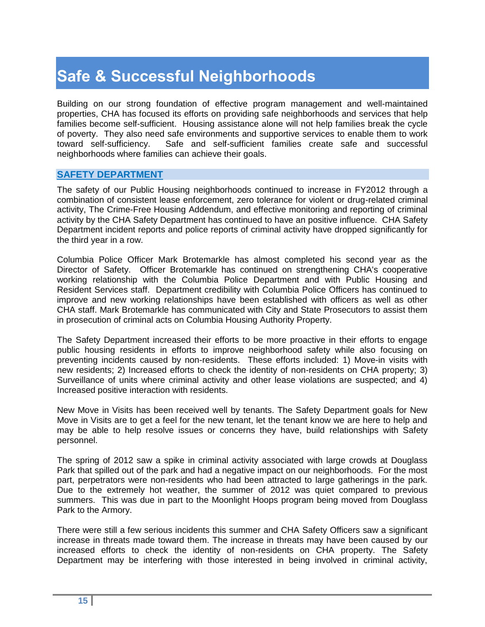# **Safe & Successful Neighborhoods**

Building on our strong foundation of effective program management and well-maintained properties, CHA has focused its efforts on providing safe neighborhoods and services that help families become self-sufficient. Housing assistance alone will not help families break the cycle of poverty. They also need safe environments and supportive services to enable them to work toward self-sufficiency. Safe and self-sufficient families create safe and successful neighborhoods where families can achieve their goals.

#### **SAFETY DEPARTMENT**

The safety of our Public Housing neighborhoods continued to increase in FY2012 through a combination of consistent lease enforcement, zero tolerance for violent or drug-related criminal activity, The Crime-Free Housing Addendum, and effective monitoring and reporting of criminal activity by the CHA Safety Department has continued to have an positive influence. CHA Safety Department incident reports and police reports of criminal activity have dropped significantly for the third year in a row.

Columbia Police Officer Mark Brotemarkle has almost completed his second year as the Director of Safety. Officer Brotemarkle has continued on strengthening CHA's cooperative working relationship with the Columbia Police Department and with Public Housing and Resident Services staff. Department credibility with Columbia Police Officers has continued to improve and new working relationships have been established with officers as well as other CHA staff. Mark Brotemarkle has communicated with City and State Prosecutors to assist them in prosecution of criminal acts on Columbia Housing Authority Property.

The Safety Department increased their efforts to be more proactive in their efforts to engage public housing residents in efforts to improve neighborhood safety while also focusing on preventing incidents caused by non-residents. These efforts included: 1) Move-in visits with new residents; 2) Increased efforts to check the identity of non-residents on CHA property; 3) Surveillance of units where criminal activity and other lease violations are suspected; and 4) Increased positive interaction with residents.

New Move in Visits has been received well by tenants. The Safety Department goals for New Move in Visits are to get a feel for the new tenant, let the tenant know we are here to help and may be able to help resolve issues or concerns they have, build relationships with Safety personnel.

The spring of 2012 saw a spike in criminal activity associated with large crowds at Douglass Park that spilled out of the park and had a negative impact on our neighborhoods. For the most part, perpetrators were non-residents who had been attracted to large gatherings in the park. Due to the extremely hot weather, the summer of 2012 was quiet compared to previous summers. This was due in part to the Moonlight Hoops program being moved from Douglass Park to the Armory.

There were still a few serious incidents this summer and CHA Safety Officers saw a significant increase in threats made toward them. The increase in threats may have been caused by our increased efforts to check the identity of non-residents on CHA property. The Safety Department may be interfering with those interested in being involved in criminal activity,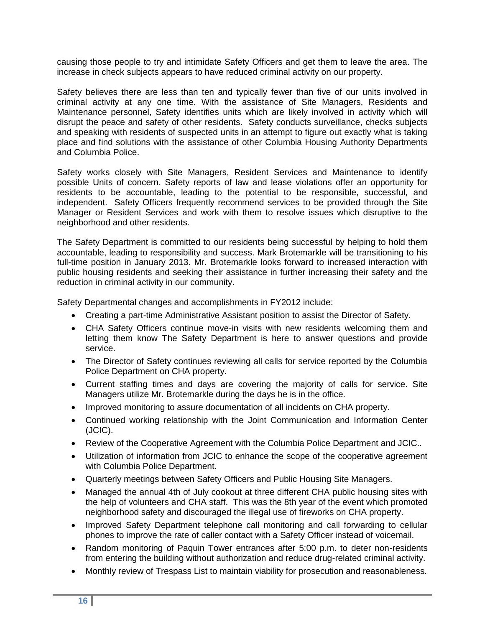causing those people to try and intimidate Safety Officers and get them to leave the area. The increase in check subjects appears to have reduced criminal activity on our property.

Safety believes there are less than ten and typically fewer than five of our units involved in criminal activity at any one time. With the assistance of Site Managers, Residents and Maintenance personnel, Safety identifies units which are likely involved in activity which will disrupt the peace and safety of other residents. Safety conducts surveillance, checks subjects and speaking with residents of suspected units in an attempt to figure out exactly what is taking place and find solutions with the assistance of other Columbia Housing Authority Departments and Columbia Police.

Safety works closely with Site Managers, Resident Services and Maintenance to identify possible Units of concern. Safety reports of law and lease violations offer an opportunity for residents to be accountable, leading to the potential to be responsible, successful, and independent. Safety Officers frequently recommend services to be provided through the Site Manager or Resident Services and work with them to resolve issues which disruptive to the neighborhood and other residents.

The Safety Department is committed to our residents being successful by helping to hold them accountable, leading to responsibility and success. Mark Brotemarkle will be transitioning to his full-time position in January 2013. Mr. Brotemarkle looks forward to increased interaction with public housing residents and seeking their assistance in further increasing their safety and the reduction in criminal activity in our community.

Safety Departmental changes and accomplishments in FY2012 include:

- Creating a part-time Administrative Assistant position to assist the Director of Safety.
- CHA Safety Officers continue move-in visits with new residents welcoming them and letting them know The Safety Department is here to answer questions and provide service.
- The Director of Safety continues reviewing all calls for service reported by the Columbia Police Department on CHA property.
- Current staffing times and days are covering the majority of calls for service. Site Managers utilize Mr. Brotemarkle during the days he is in the office.
- Improved monitoring to assure documentation of all incidents on CHA property.
- Continued working relationship with the Joint Communication and Information Center (JCIC).
- Review of the Cooperative Agreement with the Columbia Police Department and JCIC..
- Utilization of information from JCIC to enhance the scope of the cooperative agreement with Columbia Police Department.
- Quarterly meetings between Safety Officers and Public Housing Site Managers.
- Managed the annual 4th of July cookout at three different CHA public housing sites with the help of volunteers and CHA staff. This was the 8th year of the event which promoted neighborhood safety and discouraged the illegal use of fireworks on CHA property.
- Improved Safety Department telephone call monitoring and call forwarding to cellular phones to improve the rate of caller contact with a Safety Officer instead of voicemail.
- Random monitoring of Paquin Tower entrances after 5:00 p.m. to deter non-residents from entering the building without authorization and reduce drug-related criminal activity.
- Monthly review of Trespass List to maintain viability for prosecution and reasonableness.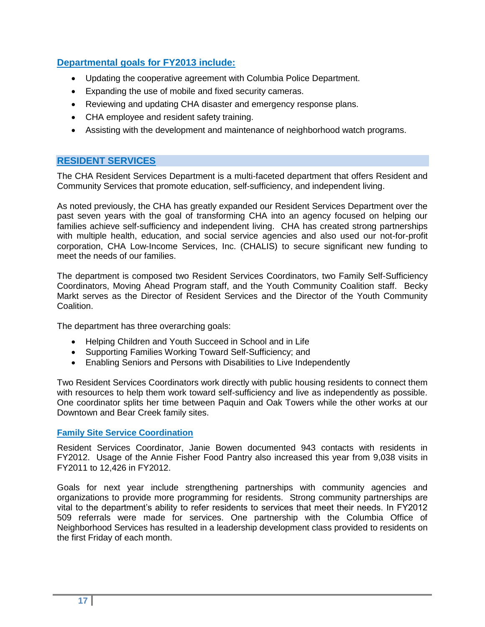# **Departmental goals for FY2013 include:**

- Updating the cooperative agreement with Columbia Police Department.
- Expanding the use of mobile and fixed security cameras.
- Reviewing and updating CHA disaster and emergency response plans.
- CHA employee and resident safety training.
- Assisting with the development and maintenance of neighborhood watch programs.

#### **RESIDENT SERVICES**

The CHA Resident Services Department is a multi-faceted department that offers Resident and Community Services that promote education, self-sufficiency, and independent living.

As noted previously, the CHA has greatly expanded our Resident Services Department over the past seven years with the goal of transforming CHA into an agency focused on helping our families achieve self-sufficiency and independent living. CHA has created strong partnerships with multiple health, education, and social service agencies and also used our not-for-profit corporation, CHA Low-Income Services, Inc. (CHALIS) to secure significant new funding to meet the needs of our families.

The department is composed two Resident Services Coordinators, two Family Self-Sufficiency Coordinators, Moving Ahead Program staff, and the Youth Community Coalition staff. Becky Markt serves as the Director of Resident Services and the Director of the Youth Community Coalition.

The department has three overarching goals:

- Helping Children and Youth Succeed in School and in Life
- Supporting Families Working Toward Self-Sufficiency; and
- Enabling Seniors and Persons with Disabilities to Live Independently

Two Resident Services Coordinators work directly with public housing residents to connect them with resources to help them work toward self-sufficiency and live as independently as possible. One coordinator splits her time between Paquin and Oak Towers while the other works at our Downtown and Bear Creek family sites.

#### **Family Site Service Coordination**

Resident Services Coordinator, Janie Bowen documented 943 contacts with residents in FY2012. Usage of the Annie Fisher Food Pantry also increased this year from 9,038 visits in FY2011 to 12,426 in FY2012.

Goals for next year include strengthening partnerships with community agencies and organizations to provide more programming for residents. Strong community partnerships are vital to the department's ability to refer residents to services that meet their needs. In FY2012 509 referrals were made for services. One partnership with the Columbia Office of Neighborhood Services has resulted in a leadership development class provided to residents on the first Friday of each month.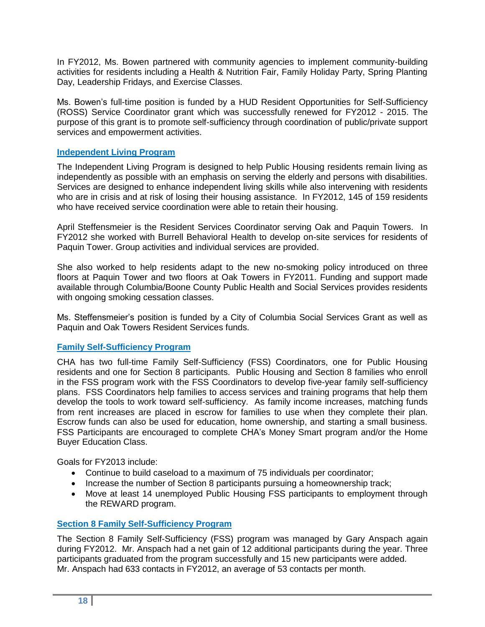In FY2012, Ms. Bowen partnered with community agencies to implement community-building activities for residents including a Health & Nutrition Fair, Family Holiday Party, Spring Planting Day, Leadership Fridays, and Exercise Classes.

Ms. Bowen's full-time position is funded by a HUD Resident Opportunities for Self-Sufficiency (ROSS) Service Coordinator grant which was successfully renewed for FY2012 - 2015. The purpose of this grant is to promote self-sufficiency through coordination of public/private support services and empowerment activities.

#### **Independent Living Program**

The Independent Living Program is designed to help Public Housing residents remain living as independently as possible with an emphasis on serving the elderly and persons with disabilities. Services are designed to enhance independent living skills while also intervening with residents who are in crisis and at risk of losing their housing assistance. In FY2012, 145 of 159 residents who have received service coordination were able to retain their housing.

April Steffensmeier is the Resident Services Coordinator serving Oak and Paquin Towers. In FY2012 she worked with Burrell Behavioral Health to develop on-site services for residents of Paquin Tower. Group activities and individual services are provided.

She also worked to help residents adapt to the new no-smoking policy introduced on three floors at Paquin Tower and two floors at Oak Towers in FY2011. Funding and support made available through Columbia/Boone County Public Health and Social Services provides residents with ongoing smoking cessation classes.

Ms. Steffensmeier's position is funded by a City of Columbia Social Services Grant as well as Paquin and Oak Towers Resident Services funds.

#### **Family Self-Sufficiency Program**

CHA has two full-time Family Self-Sufficiency (FSS) Coordinators, one for Public Housing residents and one for Section 8 participants. Public Housing and Section 8 families who enroll in the FSS program work with the FSS Coordinators to develop five-year family self-sufficiency plans. FSS Coordinators help families to access services and training programs that help them develop the tools to work toward self-sufficiency. As family income increases, matching funds from rent increases are placed in escrow for families to use when they complete their plan. Escrow funds can also be used for education, home ownership, and starting a small business. FSS Participants are encouraged to complete CHA's Money Smart program and/or the Home Buyer Education Class.

Goals for FY2013 include:

- Continue to build caseload to a maximum of 75 individuals per coordinator;
- Increase the number of Section 8 participants pursuing a homeownership track;
- Move at least 14 unemployed Public Housing FSS participants to employment through the REWARD program.

#### **Section 8 Family Self-Sufficiency Program**

The Section 8 Family Self-Sufficiency (FSS) program was managed by Gary Anspach again during FY2012. Mr. Anspach had a net gain of 12 additional participants during the year. Three participants graduated from the program successfully and 15 new participants were added. Mr. Anspach had 633 contacts in FY2012, an average of 53 contacts per month.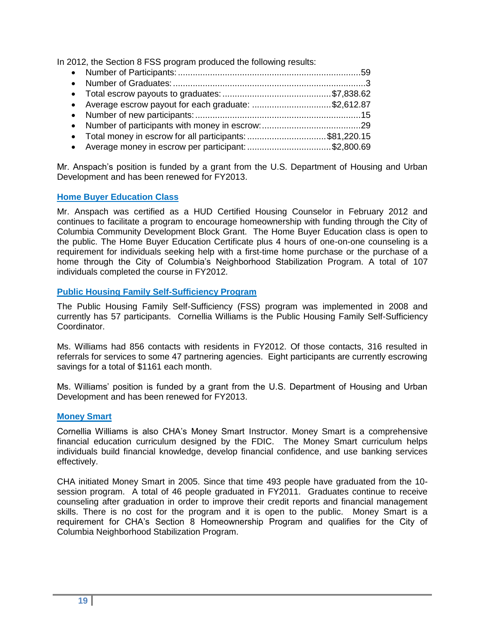In 2012, the Section 8 FSS program produced the following results:

| • Average escrow payout for each graduate: \$2,612.87     |
|-----------------------------------------------------------|
|                                                           |
|                                                           |
| • Total money in escrow for all participants: \$81,220.15 |
| • Average money in escrow per participant: \$2,800.69     |
|                                                           |

Mr. Anspach's position is funded by a grant from the U.S. Department of Housing and Urban Development and has been renewed for FY2013.

#### **Home Buyer Education Class**

Mr. Anspach was certified as a HUD Certified Housing Counselor in February 2012 and continues to facilitate a program to encourage homeownership with funding through the City of Columbia Community Development Block Grant. The Home Buyer Education class is open to the public. The Home Buyer Education Certificate plus 4 hours of one-on-one counseling is a requirement for individuals seeking help with a first-time home purchase or the purchase of a home through the City of Columbia's Neighborhood Stabilization Program. A total of 107 individuals completed the course in FY2012.

#### **Public Housing Family Self-Sufficiency Program**

The Public Housing Family Self-Sufficiency (FSS) program was implemented in 2008 and currently has 57 participants. Cornellia Williams is the Public Housing Family Self-Sufficiency Coordinator.

Ms. Williams had 856 contacts with residents in FY2012. Of those contacts, 316 resulted in referrals for services to some 47 partnering agencies. Eight participants are currently escrowing savings for a total of \$1161 each month.

Ms. Williams' position is funded by a grant from the U.S. Department of Housing and Urban Development and has been renewed for FY2013.

#### **Money Smart**

Cornellia Williams is also CHA's Money Smart Instructor. Money Smart is a comprehensive financial education curriculum designed by the FDIC. The Money Smart curriculum helps individuals build financial knowledge, develop financial confidence, and use banking services effectively.

CHA initiated Money Smart in 2005. Since that time 493 people have graduated from the 10 session program. A total of 46 people graduated in FY2011. Graduates continue to receive counseling after graduation in order to improve their credit reports and financial management skills. There is no cost for the program and it is open to the public. Money Smart is a requirement for CHA's Section 8 Homeownership Program and qualifies for the City of Columbia Neighborhood Stabilization Program.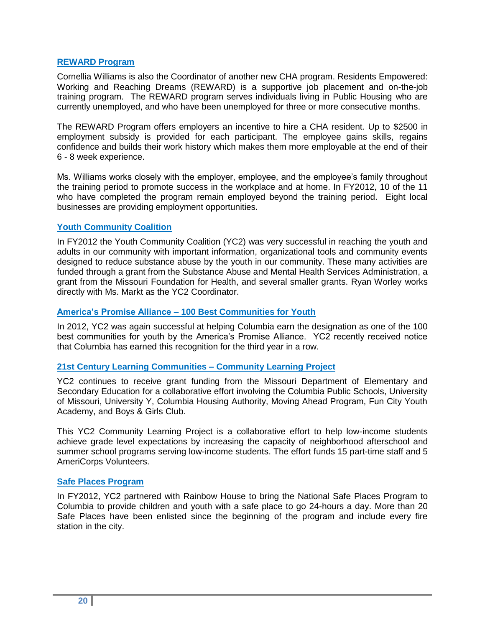#### **REWARD Program**

Cornellia Williams is also the Coordinator of another new CHA program. Residents Empowered: Working and Reaching Dreams (REWARD) is a supportive job placement and on-the-job training program. The REWARD program serves individuals living in Public Housing who are currently unemployed, and who have been unemployed for three or more consecutive months.

The REWARD Program offers employers an incentive to hire a CHA resident. Up to \$2500 in employment subsidy is provided for each participant. The employee gains skills, regains confidence and builds their work history which makes them more employable at the end of their 6 - 8 week experience.

Ms. Williams works closely with the employer, employee, and the employee's family throughout the training period to promote success in the workplace and at home. In FY2012, 10 of the 11 who have completed the program remain employed beyond the training period. Eight local businesses are providing employment opportunities.

#### **Youth Community Coalition**

In FY2012 the Youth Community Coalition (YC2) was very successful in reaching the youth and adults in our community with important information, organizational tools and community events designed to reduce substance abuse by the youth in our community. These many activities are funded through a grant from the Substance Abuse and Mental Health Services Administration, a grant from the Missouri Foundation for Health, and several smaller grants. Ryan Worley works directly with Ms. Markt as the YC2 Coordinator.

#### **America's Promise Alliance – 100 Best Communities for Youth**

In 2012, YC2 was again successful at helping Columbia earn the designation as one of the 100 best communities for youth by the America's Promise Alliance. YC2 recently received notice that Columbia has earned this recognition for the third year in a row.

#### **21st Century Learning Communities – Community Learning Project**

YC2 continues to receive grant funding from the Missouri Department of Elementary and Secondary Education for a collaborative effort involving the Columbia Public Schools, University of Missouri, University Y, Columbia Housing Authority, Moving Ahead Program, Fun City Youth Academy, and Boys & Girls Club.

This YC2 Community Learning Project is a collaborative effort to help low-income students achieve grade level expectations by increasing the capacity of neighborhood afterschool and summer school programs serving low-income students. The effort funds 15 part-time staff and 5 AmeriCorps Volunteers.

#### **Safe Places Program**

In FY2012, YC2 partnered with Rainbow House to bring the National Safe Places Program to Columbia to provide children and youth with a safe place to go 24-hours a day. More than 20 Safe Places have been enlisted since the beginning of the program and include every fire station in the city.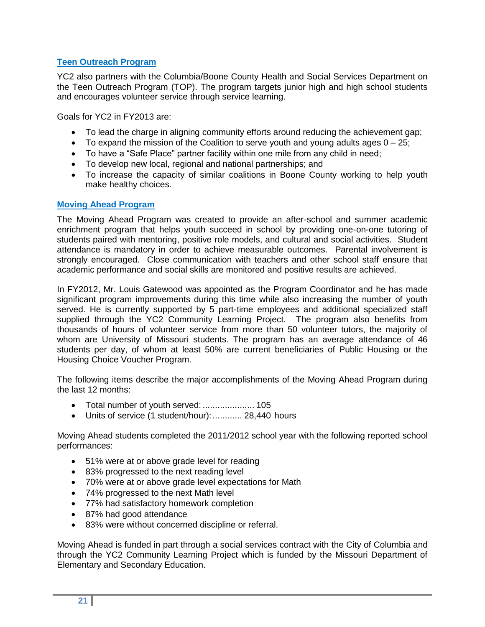### **Teen Outreach Program**

YC2 also partners with the Columbia/Boone County Health and Social Services Department on the Teen Outreach Program (TOP). The program targets junior high and high school students and encourages volunteer service through service learning.

Goals for YC2 in FY2013 are:

- To lead the charge in aligning community efforts around reducing the achievement gap;
- $\bullet$  To expand the mission of the Coalition to serve youth and young adults ages  $0 25$ ;
- To have a "Safe Place" partner facility within one mile from any child in need;
- To develop new local, regional and national partnerships; and
- To increase the capacity of similar coalitions in Boone County working to help youth make healthy choices.

#### **Moving Ahead Program**

The Moving Ahead Program was created to provide an after-school and summer academic enrichment program that helps youth succeed in school by providing one-on-one tutoring of students paired with mentoring, positive role models, and cultural and social activities. Student attendance is mandatory in order to achieve measurable outcomes. Parental involvement is strongly encouraged. Close communication with teachers and other school staff ensure that academic performance and social skills are monitored and positive results are achieved.

In FY2012, Mr. Louis Gatewood was appointed as the Program Coordinator and he has made significant program improvements during this time while also increasing the number of youth served. He is currently supported by 5 part-time employees and additional specialized staff supplied through the YC2 Community Learning Project. The program also benefits from thousands of hours of volunteer service from more than 50 volunteer tutors, the majority of whom are University of Missouri students. The program has an average attendance of 46 students per day, of whom at least 50% are current beneficiaries of Public Housing or the Housing Choice Voucher Program.

The following items describe the major accomplishments of the Moving Ahead Program during the last 12 months:

- Total number of youth served: ..................... 105
- Units of service (1 student/hour):............ 28,440 hours

Moving Ahead students completed the 2011/2012 school year with the following reported school performances:

- 51% were at or above grade level for reading
- 83% progressed to the next reading level
- 70% were at or above grade level expectations for Math
- 74% progressed to the next Math level
- 77% had satisfactory homework completion
- 87% had good attendance
- 83% were without concerned discipline or referral.

Moving Ahead is funded in part through a social services contract with the City of Columbia and through the YC2 Community Learning Project which is funded by the Missouri Department of Elementary and Secondary Education.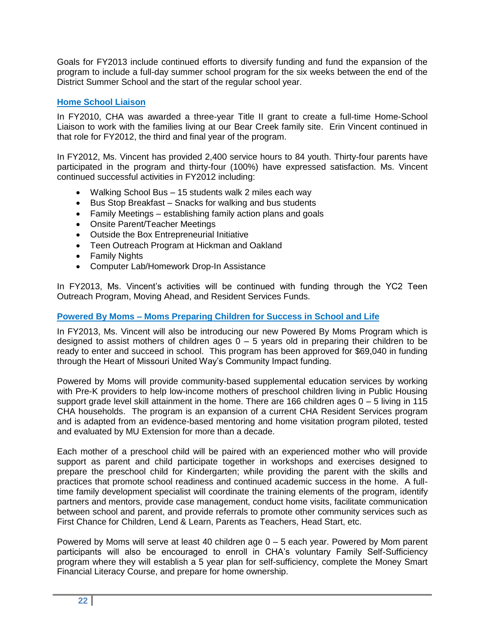Goals for FY2013 include continued efforts to diversify funding and fund the expansion of the program to include a full-day summer school program for the six weeks between the end of the District Summer School and the start of the regular school year.

### **Home School Liaison**

In FY2010, CHA was awarded a three-year Title II grant to create a full-time Home-School Liaison to work with the families living at our Bear Creek family site. Erin Vincent continued in that role for FY2012, the third and final year of the program.

In FY2012, Ms. Vincent has provided 2,400 service hours to 84 youth. Thirty-four parents have participated in the program and thirty-four (100%) have expressed satisfaction. Ms. Vincent continued successful activities in FY2012 including:

- Walking School Bus 15 students walk 2 miles each way
- Bus Stop Breakfast Snacks for walking and bus students
- Family Meetings establishing family action plans and goals
- Onsite Parent/Teacher Meetings
- Outside the Box Entrepreneurial Initiative
- Teen Outreach Program at Hickman and Oakland
- Family Nights
- Computer Lab/Homework Drop-In Assistance

In FY2013, Ms. Vincent's activities will be continued with funding through the YC2 Teen Outreach Program, Moving Ahead, and Resident Services Funds.

#### **Powered By Moms – Moms Preparing Children for Success in School and Life**

In FY2013, Ms. Vincent will also be introducing our new Powered By Moms Program which is designed to assist mothers of children ages  $0 - 5$  years old in preparing their children to be ready to enter and succeed in school. This program has been approved for \$69,040 in funding through the Heart of Missouri United Way's Community Impact funding.

Powered by Moms will provide community-based supplemental education services by working with Pre-K providers to help low-income mothers of preschool children living in Public Housing support grade level skill attainment in the home. There are 166 children ages  $0 - 5$  living in 115 CHA households. The program is an expansion of a current CHA Resident Services program and is adapted from an evidence-based mentoring and home visitation program piloted, tested and evaluated by MU Extension for more than a decade.

Each mother of a preschool child will be paired with an experienced mother who will provide support as parent and child participate together in workshops and exercises designed to prepare the preschool child for Kindergarten; while providing the parent with the skills and practices that promote school readiness and continued academic success in the home. A fulltime family development specialist will coordinate the training elements of the program, identify partners and mentors, provide case management, conduct home visits, facilitate communication between school and parent, and provide referrals to promote other community services such as First Chance for Children, Lend & Learn, Parents as Teachers, Head Start, etc.

Powered by Moms will serve at least 40 children age  $0 - 5$  each year. Powered by Mom parent participants will also be encouraged to enroll in CHA's voluntary Family Self-Sufficiency program where they will establish a 5 year plan for self-sufficiency, complete the Money Smart Financial Literacy Course, and prepare for home ownership.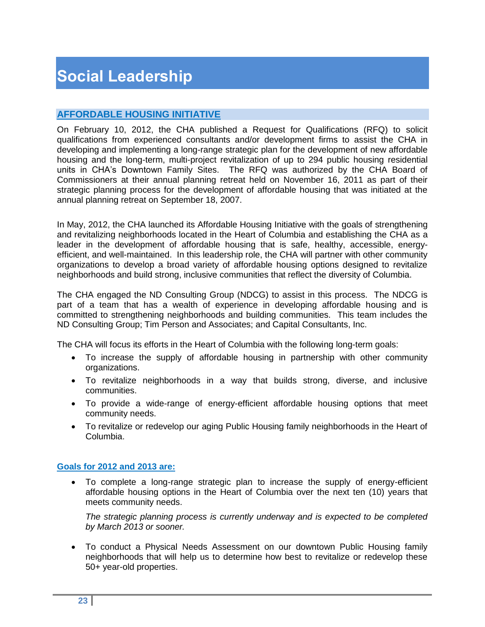# **AFFORDABLE HOUSING INITIATIVE**

On February 10, 2012, the CHA published a Request for Qualifications (RFQ) to solicit qualifications from experienced consultants and/or development firms to assist the CHA in developing and implementing a long-range strategic plan for the development of new affordable housing and the long-term, multi-project revitalization of up to 294 public housing residential units in CHA's Downtown Family Sites. The RFQ was authorized by the CHA Board of Commissioners at their annual planning retreat held on November 16, 2011 as part of their strategic planning process for the development of affordable housing that was initiated at the annual planning retreat on September 18, 2007.

In May, 2012, the CHA launched its Affordable Housing Initiative with the goals of strengthening and revitalizing neighborhoods located in the Heart of Columbia and establishing the CHA as a leader in the development of affordable housing that is safe, healthy, accessible, energyefficient, and well-maintained. In this leadership role, the CHA will partner with other community organizations to develop a broad variety of affordable housing options designed to revitalize neighborhoods and build strong, inclusive communities that reflect the diversity of Columbia.

The CHA engaged the ND Consulting Group (NDCG) to assist in this process. The NDCG is part of a team that has a wealth of experience in developing affordable housing and is committed to strengthening neighborhoods and building communities. This team includes the ND Consulting Group; Tim Person and Associates; and Capital Consultants, Inc.

The CHA will focus its efforts in the Heart of Columbia with the following long-term goals:

- To increase the supply of affordable housing in partnership with other community organizations.
- To revitalize neighborhoods in a way that builds strong, diverse, and inclusive communities.
- To provide a wide-range of energy-efficient affordable housing options that meet community needs.
- To revitalize or redevelop our aging Public Housing family neighborhoods in the Heart of Columbia.

# **Goals for 2012 and 2013 are:**

 To complete a long-range strategic plan to increase the supply of energy-efficient affordable housing options in the Heart of Columbia over the next ten (10) years that meets community needs.

*The strategic planning process is currently underway and is expected to be completed by March 2013 or sooner.*

 To conduct a Physical Needs Assessment on our downtown Public Housing family neighborhoods that will help us to determine how best to revitalize or redevelop these 50+ year-old properties.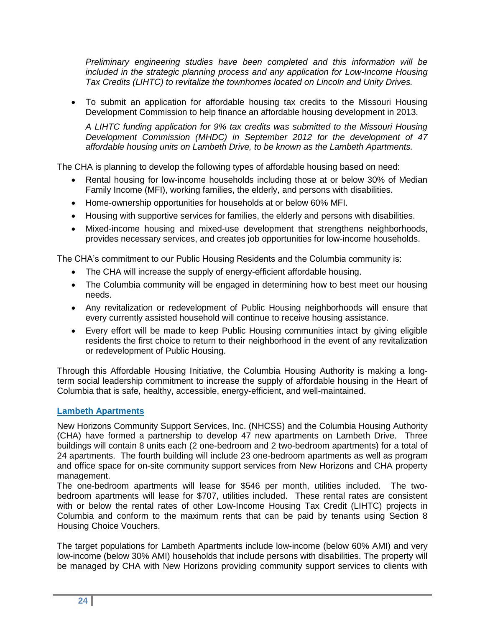*Preliminary engineering studies have been completed and this information will be included in the strategic planning process and any application for Low-Income Housing Tax Credits (LIHTC) to revitalize the townhomes located on Lincoln and Unity Drives.*

 To submit an application for affordable housing tax credits to the Missouri Housing Development Commission to help finance an affordable housing development in 2013.

*A LIHTC funding application for 9% tax credits was submitted to the Missouri Housing Development Commission (MHDC) in September 2012 for the development of 47 affordable housing units on Lambeth Drive, to be known as the Lambeth Apartments.* 

The CHA is planning to develop the following types of affordable housing based on need:

- Rental housing for low-income households including those at or below 30% of Median Family Income (MFI), working families, the elderly, and persons with disabilities.
- Home-ownership opportunities for households at or below 60% MFI.
- Housing with supportive services for families, the elderly and persons with disabilities.
- Mixed-income housing and mixed-use development that strengthens neighborhoods, provides necessary services, and creates job opportunities for low-income households.

The CHA's commitment to our Public Housing Residents and the Columbia community is:

- The CHA will increase the supply of energy-efficient affordable housing.
- The Columbia community will be engaged in determining how to best meet our housing needs.
- Any revitalization or redevelopment of Public Housing neighborhoods will ensure that every currently assisted household will continue to receive housing assistance.
- Every effort will be made to keep Public Housing communities intact by giving eligible residents the first choice to return to their neighborhood in the event of any revitalization or redevelopment of Public Housing.

Through this Affordable Housing Initiative, the Columbia Housing Authority is making a longterm social leadership commitment to increase the supply of affordable housing in the Heart of Columbia that is safe, healthy, accessible, energy-efficient, and well-maintained.

#### **Lambeth Apartments**

New Horizons Community Support Services, Inc. (NHCSS) and the Columbia Housing Authority (CHA) have formed a partnership to develop 47 new apartments on Lambeth Drive. Three buildings will contain 8 units each (2 one-bedroom and 2 two-bedroom apartments) for a total of 24 apartments. The fourth building will include 23 one-bedroom apartments as well as program and office space for on-site community support services from New Horizons and CHA property management.

The one-bedroom apartments will lease for \$546 per month, utilities included. The twobedroom apartments will lease for \$707, utilities included. These rental rates are consistent with or below the rental rates of other Low-Income Housing Tax Credit (LIHTC) projects in Columbia and conform to the maximum rents that can be paid by tenants using Section 8 Housing Choice Vouchers.

The target populations for Lambeth Apartments include low-income (below 60% AMI) and very low-income (below 30% AMI) households that include persons with disabilities. The property will be managed by CHA with New Horizons providing community support services to clients with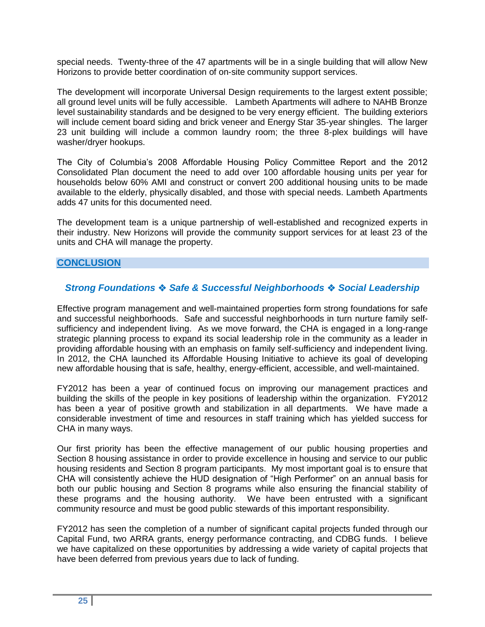special needs. Twenty-three of the 47 apartments will be in a single building that will allow New Horizons to provide better coordination of on-site community support services.

The development will incorporate Universal Design requirements to the largest extent possible; all ground level units will be fully accessible. Lambeth Apartments will adhere to NAHB Bronze level sustainability standards and be designed to be very energy efficient. The building exteriors will include cement board siding and brick veneer and Energy Star 35-year shingles. The larger 23 unit building will include a common laundry room; the three 8-plex buildings will have washer/dryer hookups.

The City of Columbia's 2008 Affordable Housing Policy Committee Report and the 2012 Consolidated Plan document the need to add over 100 affordable housing units per year for households below 60% AMI and construct or convert 200 additional housing units to be made available to the elderly, physically disabled, and those with special needs. Lambeth Apartments adds 47 units for this documented need.

The development team is a unique partnership of well-established and recognized experts in their industry. New Horizons will provide the community support services for at least 23 of the units and CHA will manage the property.

#### **CONCLUSION**

# *Strong Foundations Safe & Successful Neighborhoods Social Leadership*

Effective program management and well-maintained properties form strong foundations for safe and successful neighborhoods. Safe and successful neighborhoods in turn nurture family selfsufficiency and independent living. As we move forward, the CHA is engaged in a long-range strategic planning process to expand its social leadership role in the community as a leader in providing affordable housing with an emphasis on family self-sufficiency and independent living. In 2012, the CHA launched its Affordable Housing Initiative to achieve its goal of developing new affordable housing that is safe, healthy, energy-efficient, accessible, and well-maintained.

FY2012 has been a year of continued focus on improving our management practices and building the skills of the people in key positions of leadership within the organization. FY2012 has been a year of positive growth and stabilization in all departments. We have made a considerable investment of time and resources in staff training which has yielded success for CHA in many ways.

Our first priority has been the effective management of our public housing properties and Section 8 housing assistance in order to provide excellence in housing and service to our public housing residents and Section 8 program participants. My most important goal is to ensure that CHA will consistently achieve the HUD designation of "High Performer" on an annual basis for both our public housing and Section 8 programs while also ensuring the financial stability of these programs and the housing authority. We have been entrusted with a significant community resource and must be good public stewards of this important responsibility.

FY2012 has seen the completion of a number of significant capital projects funded through our Capital Fund, two ARRA grants, energy performance contracting, and CDBG funds. I believe we have capitalized on these opportunities by addressing a wide variety of capital projects that have been deferred from previous years due to lack of funding.